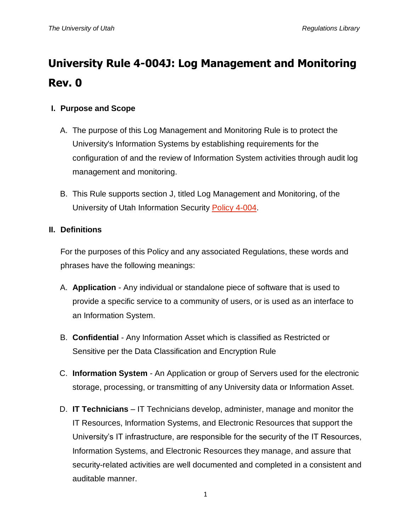# **University Rule 4-004J: Log Management and Monitoring Rev. 0**

## **I. Purpose and Scope**

- A. The purpose of this Log Management and Monitoring Rule is to protect the University's Information Systems by establishing requirements for the configuration of and the review of Information System activities through audit log management and monitoring.
- B. This Rule supports section J, titled Log Management and Monitoring, of the University of Utah Information Security [Policy](http://regulations.utah.edu/it/4-004.php) 4-004.

## **II. Definitions**

For the purposes of this Policy and any associated Regulations, these words and phrases have the following meanings:

- A. **Application** Any individual or standalone piece of software that is used to provide a specific service to a community of users, or is used as an interface to an Information System.
- B. **Confidential** Any Information Asset which is classified as Restricted or Sensitive per the Data Classification and Encryption Rule
- C. **Information System** An Application or group of Servers used for the electronic storage, processing, or transmitting of any University data or Information Asset.
- D. **IT Technicians** IT Technicians develop, administer, manage and monitor the IT Resources, Information Systems, and Electronic Resources that support the University's IT infrastructure, are responsible for the security of the IT Resources, Information Systems, and Electronic Resources they manage, and assure that security-related activities are well documented and completed in a consistent and auditable manner.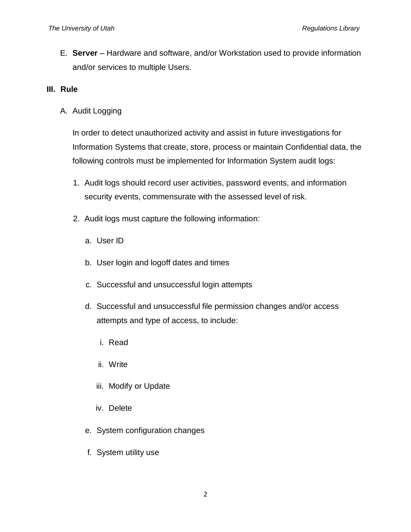E. **Server** – Hardware and software, and/or Workstation used to provide information and/or services to multiple Users.

#### **III. Rule**

A. Audit Logging

In order to detect unauthorized activity and assist in future investigations for Information Systems that create, store, process or maintain Confidential data, the following controls must be implemented for Information System audit logs:

- 1. Audit logs should record user activities, password events, and information security events, commensurate with the assessed level of risk.
- 2. Audit logs must capture the following information:
	- a. User ID
	- b. User login and logoff dates and times
	- c. Successful and unsuccessful login attempts
	- d. Successful and unsuccessful file permission changes and/or access attempts and type of access, to include:
		- i. Read
		- ii. Write
		- iii. Modify or Update
		- iv. Delete
	- e. System configuration changes
	- f. System utility use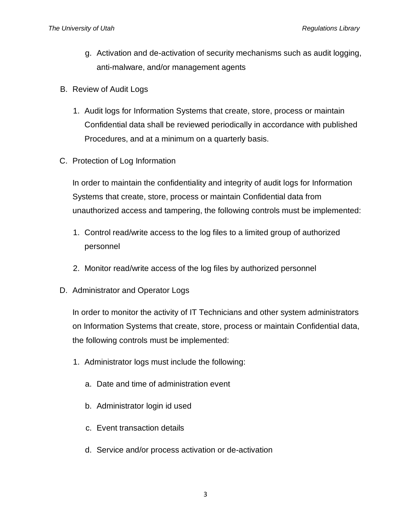- g. Activation and de-activation of security mechanisms such as audit logging, anti-malware, and/or management agents
- B. Review of Audit Logs
	- 1. Audit logs for Information Systems that create, store, process or maintain Confidential data shall be reviewed periodically in accordance with published Procedures, and at a minimum on a quarterly basis.
- C. Protection of Log Information

In order to maintain the confidentiality and integrity of audit logs for Information Systems that create, store, process or maintain Confidential data from unauthorized access and tampering, the following controls must be implemented:

- 1. Control read/write access to the log files to a limited group of authorized personnel
- 2. Monitor read/write access of the log files by authorized personnel
- D. Administrator and Operator Logs

In order to monitor the activity of IT Technicians and other system administrators on Information Systems that create, store, process or maintain Confidential data, the following controls must be implemented:

- 1. Administrator logs must include the following:
	- a. Date and time of administration event
	- b. Administrator login id used
	- c. Event transaction details
	- d. Service and/or process activation or de-activation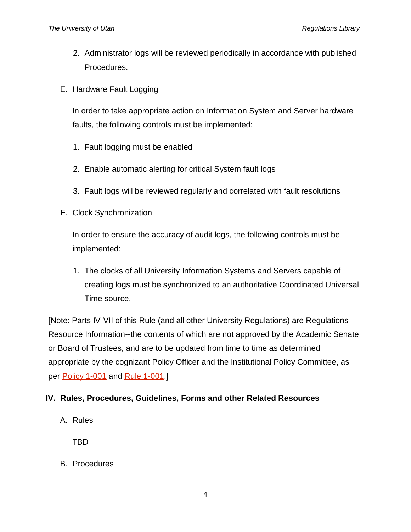- 2. Administrator logs will be reviewed periodically in accordance with published Procedures.
- E. Hardware Fault Logging

In order to take appropriate action on Information System and Server hardware faults, the following controls must be implemented:

- 1. Fault logging must be enabled
- 2. Enable automatic alerting for critical System fault logs
- 3. Fault logs will be reviewed regularly and correlated with fault resolutions
- F. Clock Synchronization

In order to ensure the accuracy of audit logs, the following controls must be implemented:

1. The clocks of all University Information Systems and Servers capable of creating logs must be synchronized to an authoritative Coordinated Universal Time source.

[Note: Parts IV-VII of this Rule (and all other University Regulations) are Regulations Resource Information--the contents of which are not approved by the Academic Senate or Board of Trustees, and are to be updated from time to time as determined appropriate by the cognizant Policy Officer and the Institutional Policy Committee, as per [Policy 1-001](http://regulations.utah.edu/general/1-001.php) and [Rule 1-001.](http://regulations.utah.edu/general/rules/R1-001.php)]

#### **IV. Rules, Procedures, Guidelines, Forms and other Related Resources**

A. Rules

TBD

B. Procedures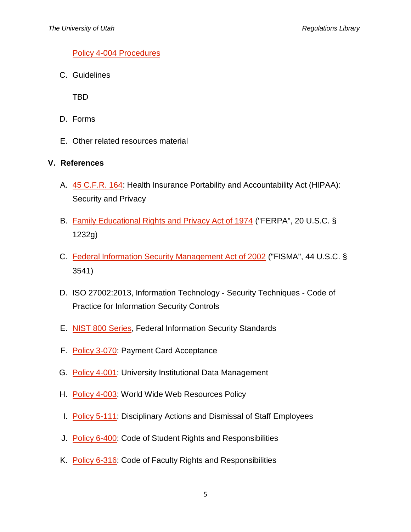#### [Policy 4-004 Procedures](https://uofu.box.com/v/Procedures)

C. Guidelines

TBD

- D. Forms
- E. Other related resources material

#### **V. References**

- A. [45 C.F.R. 164:](http://www.gpo.gov/fdsys/pkg/CFR-2011-title45-vol1/pdf/CFR-2011-title45-vol1-part164.pdf) Health Insurance Portability and Accountability Act (HIPAA): Security and Privacy
- B. [Family Educational Rights and Privacy Act of 1974](http://www2.ed.gov/policy/gen/guid/fpco/ferpa/index.html) ("FERPA", 20 U.S.C. § 1232g)
- C. [Federal Information Security Management Act of 2002](http://www.dhs.gov/federal-information-security-management-act-fisma) ("FISMA", 44 U.S.C. § 3541)
- D. ISO 27002:2013, Information Technology Security Techniques Code of Practice for Information Security Controls
- E. [NIST 800 Series,](http://csrc.nist.gov/publications/PubsSPs.html) Federal Information Security Standards
- F. [Policy 3-070:](http://regulations.utah.edu/administration/3-070.php) Payment Card Acceptance
- G. [Policy 4-001:](http://regulations.utah.edu/it/4-001.php) University Institutional Data Management
- H. [Policy 4-003:](http://regulations.utah.edu/it/4-003.php) World Wide Web Resources Policy
- I. [Policy 5-111:](http://regulations.utah.edu/human-resources/5-111.php) Disciplinary Actions and Dismissal of Staff Employees
- J. [Policy 6-400:](http://regulations.utah.edu/academics/6-400.php) Code of Student Rights and Responsibilities
- K. [Policy 6-316:](http://regulations.utah.edu/academics/6-316.php) Code of Faculty Rights and Responsibilities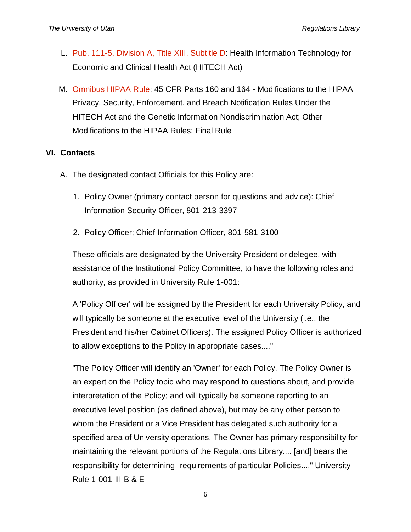- L. [Pub. 111-5, Division A, Title XIII, Subtitle D:](http://www.hhs.gov/ocr/privacy/hipaa/understanding/coveredentities/hitechact.pdf) Health Information Technology for Economic and Clinical Health Act (HITECH Act)
- M. [Omnibus HIPAA Rule:](http://www.gpo.gov/fdsys/pkg/FR-2013-01-25/pdf/2013-01073.pdf) 45 CFR Parts 160 and 164 Modifications to the HIPAA Privacy, Security, Enforcement, and Breach Notification Rules Under the HITECH Act and the Genetic Information Nondiscrimination Act; Other Modifications to the HIPAA Rules; Final Rule

### **VI. Contacts**

- A. The designated contact Officials for this Policy are:
	- 1. Policy Owner (primary contact person for questions and advice): Chief Information Security Officer, 801-213-3397
	- 2. Policy Officer; Chief Information Officer, 801-581-3100

These officials are designated by the University President or delegee, with assistance of the Institutional Policy Committee, to have the following roles and authority, as provided in University Rule 1-001:

A 'Policy Officer' will be assigned by the President for each University Policy, and will typically be someone at the executive level of the University (i.e., the President and his/her Cabinet Officers). The assigned Policy Officer is authorized to allow exceptions to the Policy in appropriate cases...."

"The Policy Officer will identify an 'Owner' for each Policy. The Policy Owner is an expert on the Policy topic who may respond to questions about, and provide interpretation of the Policy; and will typically be someone reporting to an executive level position (as defined above), but may be any other person to whom the President or a Vice President has delegated such authority for a specified area of University operations. The Owner has primary responsibility for maintaining the relevant portions of the Regulations Library.... [and] bears the responsibility for determining -requirements of particular Policies...." University Rule 1-001-III-B & E